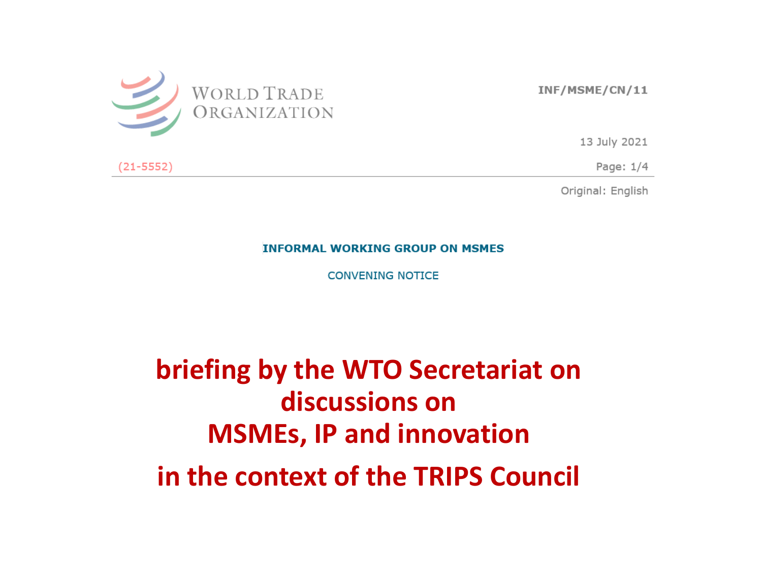

INF/MSME/CN/11

13 July 2021

 $(21 - 5552)$ 

Page:  $1/4$ 

Original: English

**INFORMAL WORKING GROUP ON MSMES** 

**CONVENING NOTICE** 

briefing by the WTO Secretariat on discussions on **MSMEs, IP and innovation** in the context of the TRIPS Council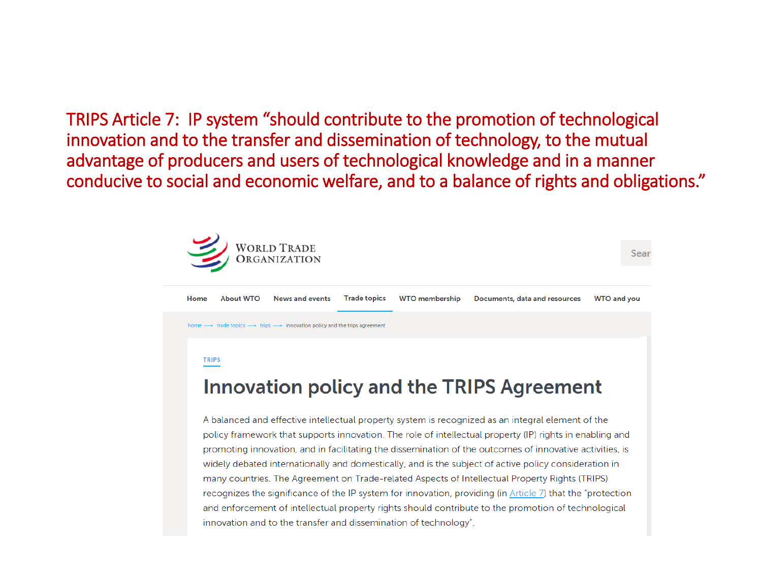TRIPS Article 7: IP system "should contribute to the promotion of technological innovation and to the transfer and dissemination of technology, to the mutual advantage of producers and users of technological knowledge and in a manner conducive to social and economic welfare, and to a balance of rights and obligations."



**About WTO Trade topics WTO membership** Documents, data and resources **WTO and you** Home **News and events**  $\rightarrow$  trade topics  $\longrightarrow$  trips  $\longrightarrow$  innovation policy and the trips agreement

#### **TRIPS**

#### Innovation policy and the TRIPS Agreement

A balanced and effective intellectual property system is recognized as an integral element of the policy framework that supports innovation. The role of intellectual property (IP) rights in enabling and promoting innovation, and in facilitating the dissemination of the outcomes of innovative activities, is widely debated internationally and domestically, and is the subject of active policy consideration in many countries. The Agreement on Trade-related Aspects of Intellectual Property Rights (TRIPS) recognizes the significance of the IP system for innovation, providing (in Article 7) that the "protection and enforcement of intellectual property rights should contribute to the promotion of technological innovation and to the transfer and dissemination of technology".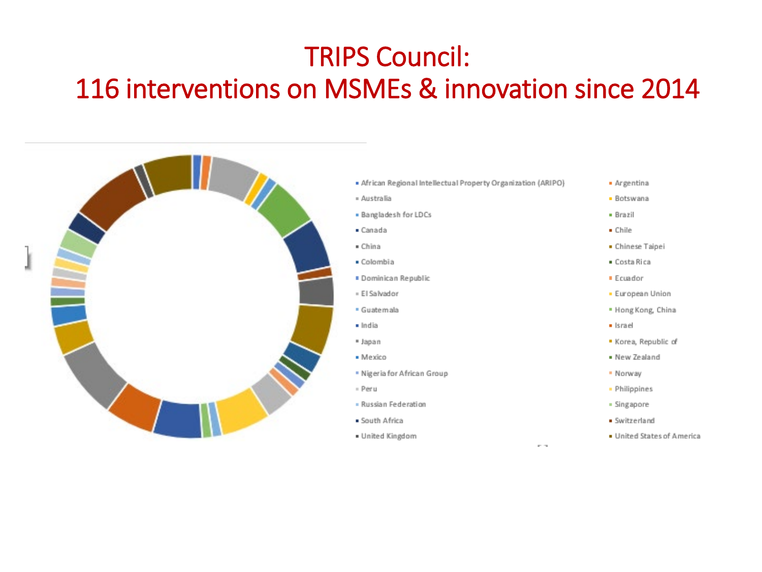#### TRIPS Council: 116 interventions on MSMEs & innovation since 2014

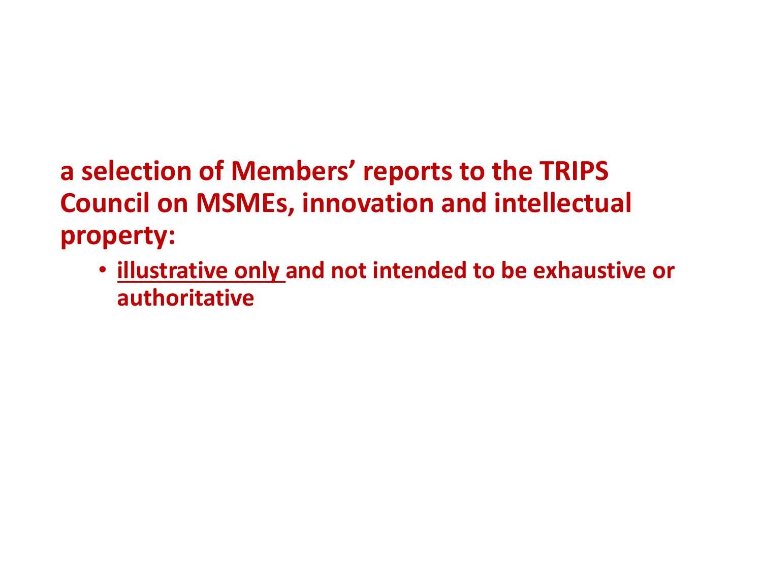#### **a selection of Members' reports to the TRIPS Council on MSMEs, innovation and intellectual property:**

• **illustrative only and not intended to be exhaustive or authoritative**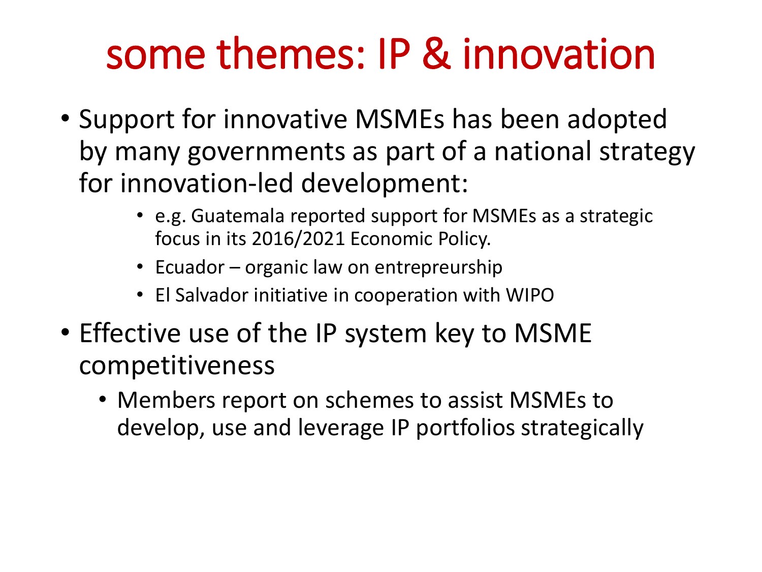### some themes: IP & innovation

- Support for innovative MSMEs has been adopted by many governments as part of a national strategy for innovation-led development:
	- e.g. Guatemala reported support for MSMEs as a strategic focus in its 2016/2021 Economic Policy.
	- Ecuador organic law on entrepreurship
	- El Salvador initiative in cooperation with WIPO
- Effective use of the IP system key to MSME competitiveness
	- Members report on schemes to assist MSMEs to develop, use and leverage IP portfolios strategically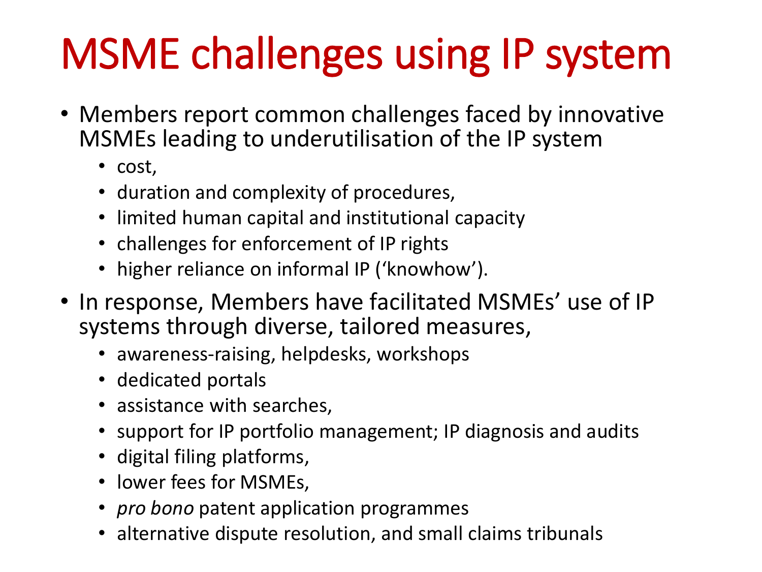# MSME challenges using IP system

- Members report common challenges faced by innovative MSMEs leading to underutilisation of the IP system
	- cost,
	- duration and complexity of procedures,
	- limited human capital and institutional capacity
	- challenges for enforcement of IP rights
	- higher reliance on informal IP ('knowhow').
- In response, Members have facilitated MSMEs' use of IP systems through diverse, tailored measures,
	- awareness-raising, helpdesks, workshops
	- dedicated portals
	- assistance with searches,
	- support for IP portfolio management; IP diagnosis and audits
	- digital filing platforms,
	- lower fees for MSMEs,
	- *pro bono* patent application programmes
	- alternative dispute resolution, and small claims tribunals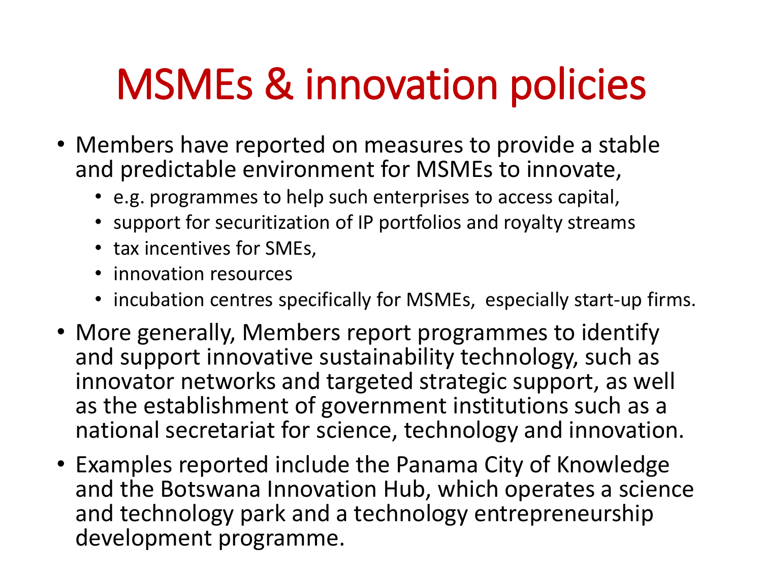### MSMEs & innovation policies

- Members have reported on measures to provide a stable and predictable environment for MSMEs to innovate,
	- e.g. programmes to help such enterprises to access capital,
	- support for securitization of IP portfolios and royalty streams
	- tax incentives for SMEs,
	- innovation resources
	- incubation centres specifically for MSMEs, especially start-up firms.
- More generally, Members report programmes to identify and support innovative sustainability technology, such as innovator networks and targeted strategic support, as well as the establishment of government institutions such as a national secretariat for science, technology and innovation.
- Examples reported include the Panama City of Knowledge and the Botswana Innovation Hub, which operates a science and technology park and a technology entrepreneurship development programme.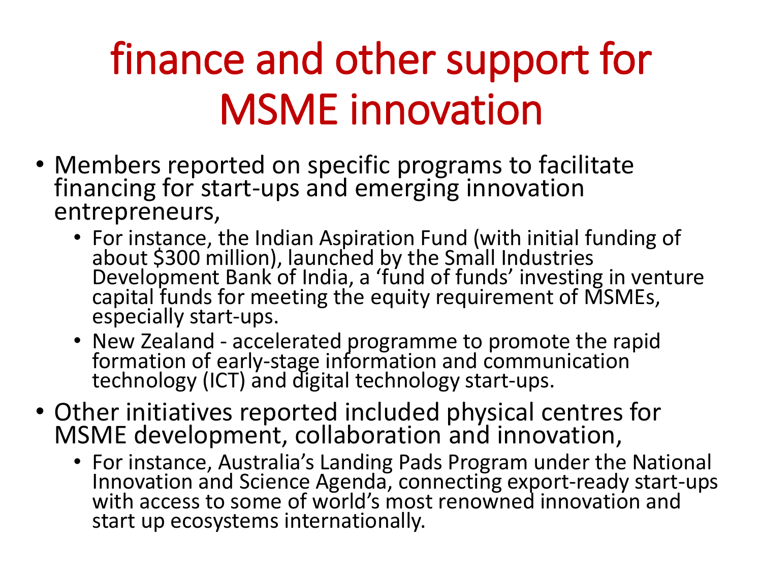## finance and other support for MSME innovation

- Members reported on specific programs to facilitate financing for start-ups and emerging innovation entrepreneurs,
	- For instance, the Indian Aspiration Fund (with initial funding of about \$300 million), launched by the Small Industries Development Bank of India, a 'fund of funds' investing in venture capital funds for meeting the equity requirement of MSMEs, especially start-ups.
	- New Zealand accelerated programme to promote the rapid formation of early-stage information and communication technology (ICT) and digital technology start-ups.
- Other initiatives reported included physical centres for MSME development, collaboration and innovation,
	- For instance, Australia's Landing Pads Program under the National Innovation and Science Agenda, connecting export-ready start-ups with access to some of world's most renowned innovation and start up ecosystems internationally.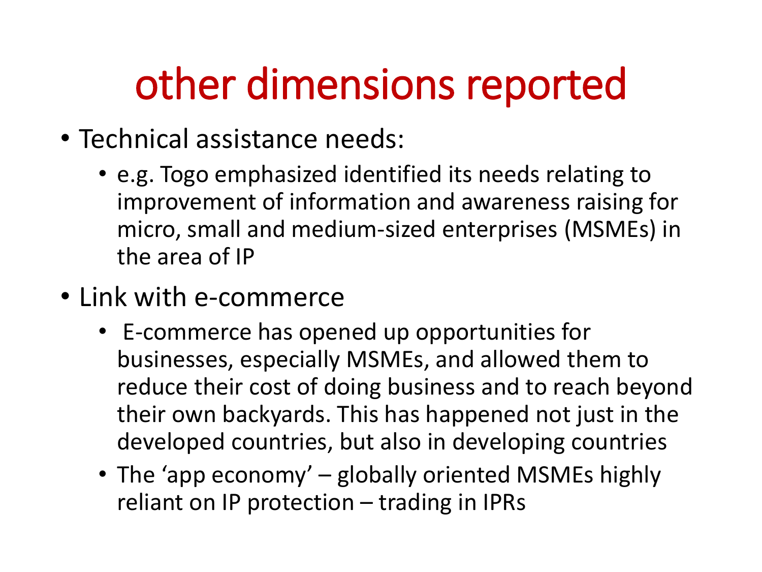#### other dimensions reported

- Technical assistance needs:
	- e.g. Togo emphasized identified its needs relating to improvement of information and awareness raising for micro, small and medium-sized enterprises (MSMEs) in the area of IP
- Link with e-commerce
	- E-commerce has opened up opportunities for businesses, especially MSMEs, and allowed them to reduce their cost of doing business and to reach beyond their own backyards. This has happened not just in the developed countries, but also in developing countries
	- The 'app economy' globally oriented MSMEs highly reliant on IP protection – trading in IPRs